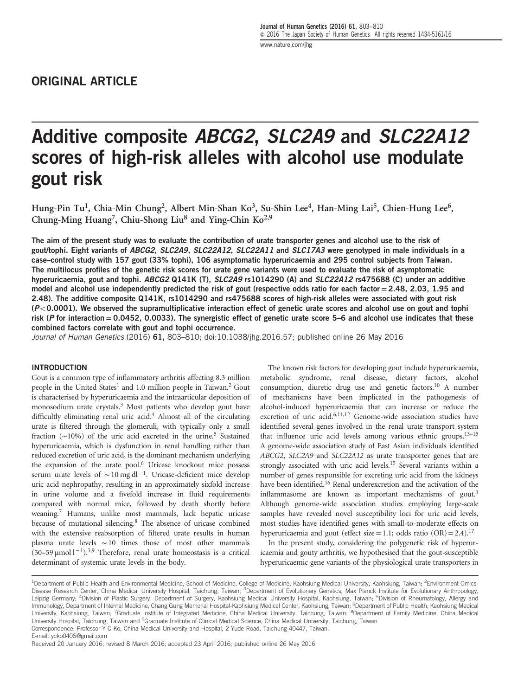# Additive composite ABCG2, SLC2A9 and SLC22A12 scores of high-risk alleles with alcohol use modulate gout risk

Hung-Pin Tu<sup>1</sup>, Chia-Min Chung<sup>2</sup>, Albert Min-Shan Ko<sup>3</sup>, Su-Shin Lee<sup>4</sup>, Han-Ming Lai<sup>5</sup>, Chien-Hung Lee<sup>6</sup>, Chung-Ming Huang<sup>7</sup>, Chiu-Shong Liu<sup>8</sup> and Ying-Chin Ko<sup>2,9</sup>

The aim of the present study was to evaluate the contribution of urate transporter genes and alcohol use to the risk of gout/tophi. Eight variants of ABCG2, SLC2A9, SLC22A12, SLC22A11 and SLC17A3 were genotyped in male individuals in a case–control study with 157 gout (33% tophi), 106 asymptomatic hyperuricaemia and 295 control subjects from Taiwan. The multilocus profiles of the genetic risk scores for urate gene variants were used to evaluate the risk of asymptomatic hyperuricaemia, gout and tophi. ABCG2 Q141K (T), SLC2A9 rs1014290 (A) and SLC22A12 rs475688 (C) under an additive model and alcohol use independently predicted the risk of gout (respective odds ratio for each factor  $= 2.48$ , 2.03, 1.95 and 2.48). The additive composite Q141K, rs1014290 and rs475688 scores of high-risk alleles were associated with gout risk  $(P<0.0001)$ . We observed the supramultiplicative interaction effect of genetic urate scores and alcohol use on gout and tophi risk ( $P$  for interaction = 0.0452, 0.0033). The synergistic effect of genetic urate score 5–6 and alcohol use indicates that these combined factors correlate with gout and tophi occurrence.

Journal of Human Genetics (2016) 61, 803-810; doi:[10.1038/jhg.2016.57](http://dx.doi.org/10.1038/jhg.2016.57); published online 26 May 2016

#### **INTRODUCTION**

Gout is a common type of inflammatory arthritis affecting 8.3 million people in the United States<sup>1</sup> and 1.0 million people in Taiwan.<sup>[2](#page-7-0)</sup> Gout is characterised by hyperuricaemia and the intraarticular deposition of monosodium urate crystals.<sup>[3](#page-7-0)</sup> Most patients who develop gout have difficultly eliminating renal uric acid. $4$  Almost all of the circulating urate is filtered through the glomeruli, with typically only a small fraction (∼10%) of the uric acid excreted in the urine[.5](#page-7-0) Sustained hyperuricaemia, which is dysfunction in renal handling rather than reduced excretion of uric acid, is the dominant mechanism underlying the expansion of the urate pool.<sup>6</sup> Uricase knockout mice possess serum urate levels of  $\sim 10 \text{ mg} \text{ d}^{-1}$ . Uricase-deficient mice develop uric acid nephropathy, resulting in an approximately sixfold increase in urine volume and a fivefold increase in fluid requirements compared with normal mice, followed by death shortly before weaning[.7](#page-7-0) Humans, unlike most mammals, lack hepatic uricase because of mutational silencing[.8](#page-7-0) The absence of uricase combined with the extensive reabsorption of filtered urate results in human plasma urate levels ∼10 times those of most other mammals (30–59 µmol  $1^{-1}$ ).<sup>[3,9](#page-7-0)</sup> Therefore, renal urate homeostasis is a critical determinant of systemic urate levels in the body.

The known risk factors for developing gout include hyperuricaemia, metabolic syndrome, renal disease, dietary factors, alcohol consumption, diuretic drug use and genetic factors[.10](#page-7-0) A number of mechanisms have been implicated in the pathogenesis of alcohol-induced hyperuricaemia that can increase or reduce the excretion of uric acid.<sup>6,[11,12](#page-7-0)</sup> Genome-wide association studies have identified several genes involved in the renal urate transport system that influence uric acid levels among various ethnic groups.13–[15](#page-7-0) A genome-wide association study of East Asian individuals identified ABCG2, SLC2A9 and SLC22A12 as urate transporter genes that are strongly associated with uric acid levels[.15](#page-7-0) Several variants within a number of genes responsible for excreting uric acid from the kidneys have been identified.<sup>16</sup> Renal underexcretion and the activation of the inflammasome are known as important mechanisms of gout.<sup>[3](#page-7-0)</sup> Although genome-wide association studies employing large-scale samples have revealed novel susceptibility loci for uric acid levels, most studies have identified genes with small-to-moderate effects on hyperuricaemia and gout (effect size = 1.1; odds ratio  $(OR) = 2.4$ ).<sup>[17](#page-7-0)</sup>

In the present study, considering the polygenetic risk of hyperuricaemia and gouty arthritis, we hypothesised that the gout-susceptible hyperuricaemic gene variants of the physiological urate transporters in

<sup>&</sup>lt;sup>1</sup>Department of Public Health and Environmental Medicine, School of Medicine, College of Medicine, Kaohsiung Medical University, Kaohsiung, Taiwan; <sup>2</sup>Environment-Omics-Disease Research Center, China Medical University Hospital, Taichung, Taiwan; <sup>3</sup>Department of Evolutionary Genetics, Max Planck Institute for Evolutionary Anthropology, Leipzig Germany; <sup>4</sup>Division of Plastic Surgery, Department of Surgery, Kaohsiung Medical University Hospital, Kaohsiung, Taiwan; <sup>5</sup>Division of Rheumatology, Allergy and Immunology, Department of Internal Medicine, Chang Gung Memorial Hospital-Kaohsiung Medical Center, Kaohsiung, Taiwan; <sup>6</sup>Department of Public Health, Kaohsiung Medical University, Kaohsiung, Taiwan; <sup>7</sup>Graduate Institute of Integrated Medicine, China Medical University, Taichung, Taiwan; <sup>8</sup>Department of Family Medicine, China Medical University Hospital, Taichung, Taiwan and <sup>9</sup>Graduate Institute of Clinical Medical Science, China Medical University, Taichung, Taiwan Correspondence: Professor Y-C Ko, China Medical University and Hospital, 2 Yude Road, Taichung 40447, Taiwan. E-mail: [ycko0406@gmail.com](mailto:ycko0406@gmail.com)

Received 20 January 2016; revised 8 March 2016; accepted 23 April 2016; published online 26 May 2016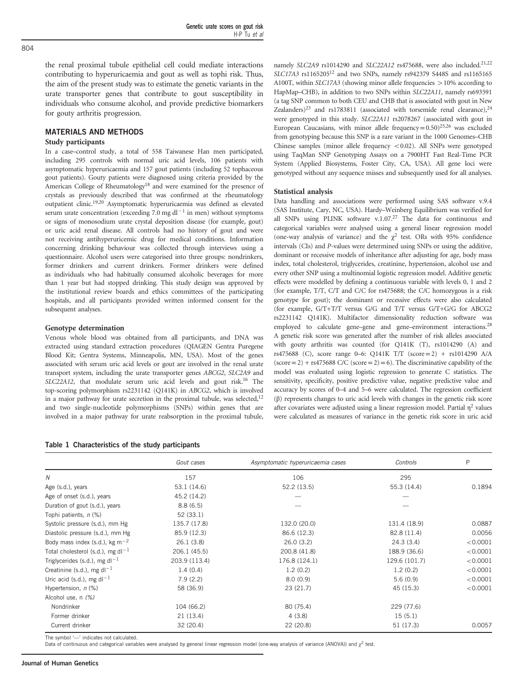<span id="page-1-0"></span>the renal proximal tubule epithelial cell could mediate interactions contributing to hyperuricaemia and gout as well as tophi risk. Thus, the aim of the present study was to estimate the genetic variants in the urate transporter genes that contribute to gout susceptibility in individuals who consume alcohol, and provide predictive biomarkers for gouty arthritis progression.

#### MATERIALS AND METHODS

#### Study participants

In a case–control study, a total of 558 Taiwanese Han men participated, including 295 controls with normal uric acid levels, 106 patients with asymptomatic hyperuricaemia and 157 gout patients (including 52 tophaceous gout patients). Gouty patients were diagnosed using criteria provided by the gout patients). Gouty patients were diagnosed using criteria provided by the American College of Rheumatology<sup>[18](#page-7-0)</sup> and were examined for the presence of crystals as previously described that was confirmed at the rheumatolo crystals as previously described that was confirmed at the rheumatology outpatient clinic.<sup>19,20</sup> Asymptomatic hyperuricaemia was defined as elevated serum urate concentration (exceeding 7.0 mg dl<sup>-1</sup> in men) without symptoms or signs of monosodium urate crystal deposition disease (for example, gout) or uric acid renal disease. All controls had no history of gout and were not receiving antihyperuricemic drug for medical conditions. Information concerning drinking behaviour was collected through interviews using a questionnaire. Alcohol users were categorised into three groups: nondrinkers, former drinkers and current drinkers. Former drinkers were defined as individuals who had habitually consumed alcoholic beverages for more than 1 year but had stopped drinking. This study design was approved by the institutional review boards and ethics committees of the participating hospitals, and all participants provided written informed consent for the subsequent analyses.

#### Genotype determination

Venous whole blood was obtained from all participants, and DNA was extracted using standard extraction procedures (QIAGEN Gentra Puregene Blood Kit; Gentra Systems, Minneapolis, MN, USA). Most of the genes associated with serum uric acid levels or gout are involved in the renal urate transport system, including the urate transporter genes ABCG2, SLC2A9 and SLC22A12, that modulate serum uric acid levels and gout risk.<sup>16</sup> The top-scoring polymorphism rs2231142 (Q141K) in ABCG2, which is involved in a major pathway for urate secretion in the proximal tubule, was selected, $12$ and two single-nucleotide polymorphisms (SNPs) within genes that are involved in a major pathway for urate reabsorption in the proximal tubule,

Table 1 Characteristics of the study participants

namely SLC2A9 rs1014290 and SLC22A12 rs475688, were also included.<sup>[21](#page-7-0),[22](#page-7-0)</sup> SLC17A3 rs1165205[12](#page-7-0) and two SNPs, namely rs942379 S448S and rs1165165 A100T, within  $SLC17A3$  (showing minor allele frequencies  $> 10\%$  according to HapMap–CHB), in addition to two SNPs within SLC22A11, namely rs693591 (a tag SNP common to both CEU and CHB that is associated with gout in New Zealanders)<sup>[23](#page-7-0)</sup> and rs1783811 (associated with torsemide renal clearance),<sup>[24](#page-7-0)</sup> were genotyped in this study. SLC22A11 rs2078267 (associated with gout in European Caucasians, with minor allele frequency= $0.50$ )<sup>25,26</sup> was excluded from genotyping because this SNP is a rare variant in the 1000 Genomes–CHB Chinese samples (minor allele frequency  $< 0.02$ ). All SNPs were genotyped using TaqMan SNP Genotyping Assays on a 7900HT Fast Real-Time PCR System (Applied Biosystems, Foster City, CA, USA). All gene loci were genotyped without any sequence misses and subsequently used for all analyses.

#### Statistical analysis

Data handling and associations were performed using SAS software v.9.4 (SAS Institute, Cary, NC, USA). Hardy–Weinberg Equilibrium was verified for all SNPs using PLINK software v.1.07.<sup>27</sup> The data for continuous and categorical variables were analysed using a general linear regression model (one-way analysis of variance) and the  $\chi^2$  test. ORs with 95% confidence intervals (CIs) and P-values were determined using SNPs or using the additive, dominant or recessive models of inheritance after adjusting for age, body mass index, total cholesterol, triglycerides, creatinine, hypertension, alcohol use and every other SNP using a multinomial logistic regression model. Additive genetic effects were modelled by defining a continuous variable with levels 0, 1 and 2 (for example, T/T, C/T and C/C for rs475688; the C/C homozygous is a risk genotype for gout); the dominant or recessive effects were also calculated (for example, G/T+T/T versus G/G and T/T versus G/T+G/G for ABCG2 rs2231142 Q141K). Multifactor dimensionality reduction software was employed to calculate gene–gene and gene–environment interactions.<sup>[28](#page-7-0)</sup> A genetic risk score was generated after the number of risk alleles associated with gouty arthritis was counted (for Q141K (T), rs1014290 (A) and rs475688 (C), score range 0–6: Q141K T/T (score=2) + rs1014290 A/A  $(\text{score}=2) + \text{rs475688 C/C } (\text{score}=2) = 6)$ . The discriminative capability of the model was evaluated using logistic regression to generate C statistics. The sensitivity, specificity, positive predictive value, negative predictive value and accuracy by scores of 0–4 and 5–6 were calculated. The regression coefficient (β) represents changes to uric acid levels with changes in the genetic risk score after covariates were adjusted using a linear regression model. Partial  $\eta^2$  values were calculated as measures of variance in the genetic risk score in uric acid

|                                               | Gout cases    | Asymptomatic hyperuricaemia cases | Controls      | P        |  |
|-----------------------------------------------|---------------|-----------------------------------|---------------|----------|--|
| $\overline{N}$                                | 157           | 106                               | 295           |          |  |
| Age (s.d.), years                             | 53.1 (14.6)   | 52.2(13.5)                        | 55.3 (14.4)   | 0.1894   |  |
| Age of onset (s.d.), years                    | 45.2 (14.2)   |                                   |               |          |  |
| Duration of gout (s.d.), years                | 8.8(6.5)      |                                   |               |          |  |
| Tophi patients, n (%)                         | 52(33.1)      |                                   |               |          |  |
| Systolic pressure (s.d.), mm Hg               | 135.7 (17.8)  | 132.0 (20.0)                      | 131.4 (18.9)  | 0.0887   |  |
| Diastolic pressure (s.d.), mm Hg              | 85.9 (12.3)   | 86.6 (12.3)                       | 82.8 (11.4)   | 0.0056   |  |
| Body mass index (s.d.), kg $m^{-2}$           | 26.1(3.8)     | 26.0(3.2)                         | 24.3(3.4)     | < 0.0001 |  |
| Total cholesterol (s.d.), mg dl <sup>-1</sup> | 206.1 (45.5)  | 200.8 (41.8)                      | 188.9 (36.6)  | < 0.0001 |  |
| Triglycerides (s.d.), mg dl <sup>-1</sup>     | 203.9 (113.4) | 176.8 (124.1)                     | 129.6 (101.7) | < 0.0001 |  |
| Creatinine (s.d.), mg d $1^{-1}$              | 1.4(0.4)      | 1.2(0.2)                          | 1.2(0.2)      | < 0.0001 |  |
| Uric acid (s.d.), mg dl <sup>-1</sup>         | 7.9(2.2)      | 8.0(0.9)                          | 5.6(0.9)      | < 0.0001 |  |
| Hypertension, $n$ (%)                         | 58 (36.9)     | 23(21.7)                          | 45 (15.3)     | < 0.0001 |  |
| Alcohol use, n (%)                            |               |                                   |               |          |  |
| Nondrinker                                    | 104 (66.2)    | 80 (75.4)                         | 229 (77.6)    |          |  |
| Former drinker                                | 21(13.4)      | 4(3.8)                            | 15(5.1)       |          |  |
| Current drinker                               | 32 (20.4)     | 22 (20.8)                         | 51 (17.3)     | 0.0057   |  |

The symbol '—' indicates not calculated.

Data of continuous and categorical variables were analysed by general linear regression model (one-way analysis of variance (ANOVA)) and  $\chi^2$  test.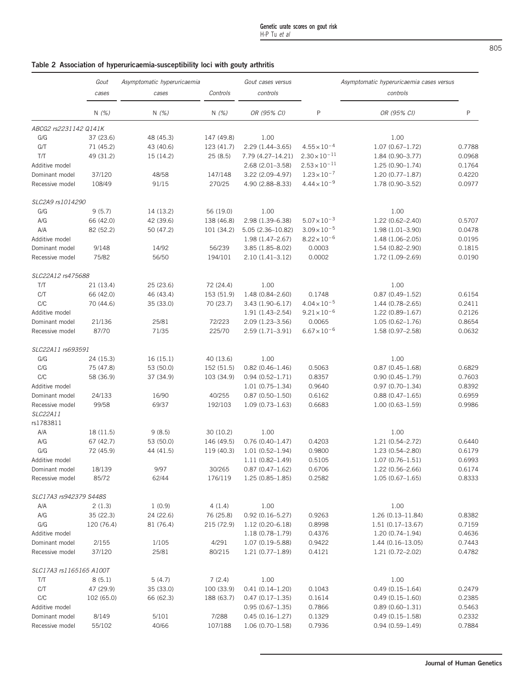## <span id="page-2-0"></span>Table 2 Association of hyperuricaemia-susceptibility loci with gouty arthritis

|                         | Gout       | Asymptomatic hyperuricaemia | Gout cases versus |                     |                        | Asymptomatic hyperuricaemia cases versus |              |
|-------------------------|------------|-----------------------------|-------------------|---------------------|------------------------|------------------------------------------|--------------|
|                         | cases      | cases                       | Controls          | controls            |                        | controls                                 |              |
|                         | N $(\%)$   | N(%)                        | N(%)              | OR (95% CI)         | P                      | OR (95% CI)                              | $\mathsf{P}$ |
| ABCG2 rs2231142 Q141K   |            |                             |                   |                     |                        |                                          |              |
| G/G                     | 37 (23.6)  | 48 (45.3)                   | 147 (49.8)        | 1.00                |                        | 1.00                                     |              |
| G/T                     | 71 (45.2)  | 43 (40.6)                   | 123 (41.7)        | 2.29 (1.44-3.65)    | $4.55 \times 10^{-4}$  | $1.07(0.67 - 1.72)$                      | 0.7788       |
| T/T                     | 49 (31.2)  | 15 (14.2)                   | 25(8.5)           | 7.79 (4.27–14.21)   | $2.30 \times 10^{-11}$ | 1.84 (0.90-3.77)                         | 0.0968       |
| Additive model          |            |                             |                   | 2.68 (2.01-3.58)    | $2.53 \times 10^{-11}$ | $1.25(0.90 - 1.74)$                      | 0.1764       |
| Dominant model          | 37/120     | 48/58                       | 147/148           | 3.22 (2.09-4.97)    | $1.23 \times 10^{-7}$  | $1.20(0.77 - 1.87)$                      | 0.4220       |
| Recessive model         | 108/49     | 91/15                       | 270/25            | 4.90 (2.88-8.33)    | $4.44 \times 10^{-9}$  | 1.78 (0.90-3.52)                         | 0.0977       |
| SLC2A9 rs1014290        |            |                             |                   |                     |                        |                                          |              |
| G/G                     | 9(5.7)     | 14 (13.2)                   | 56 (19.0)         | 1.00                |                        | 1.00                                     |              |
| A/G                     | 66 (42.0)  | 42 (39.6)                   | 138 (46.8)        | 2.98 (1.39-6.38)    | $5.07 \times 10^{-3}$  | 1.22 (0.62-2.40)                         | 0.5707       |
| A/A                     | 82 (52.2)  | 50 (47.2)                   | 101 (34.2)        | 5.05 (2.36-10.82)   | $3.09 \times 10^{-5}$  | $1.98(1.01 - 3.90)$                      | 0.0478       |
| Additive model          |            |                             |                   | 1.98 (1.47-2.67)    | $8.22 \times 10^{-6}$  | 1.48 (1.06-2.05)                         | 0.0195       |
| Dominant model          | 9/148      | 14/92                       | 56/239            | 3.85 (1.85-8.02)    | 0.0003                 | 1.54 (0.82-2.90)                         | 0.1815       |
| Recessive model         | 75/82      | 56/50                       | 194/101           | $2.10(1.41 - 3.12)$ | 0.0002                 | 1.72 (1.09-2.69)                         | 0.0190       |
| SLC22A12 rs475688       |            |                             |                   |                     |                        |                                          |              |
| T/T                     | 21 (13.4)  | 25 (23.6)                   | 72 (24.4)         | 1.00                |                        | 1.00                                     |              |
| C/T                     | 66 (42.0)  | 46 (43.4)                   | 153 (51.9)        | 1.48 (0.84-2.60)    | 0.1748                 | $0.87(0.49 - 1.52)$                      | 0.6154       |
| C/C                     | 70 (44.6)  | 35 (33.0)                   | 70 (23.7)         | $3.43(1.90 - 6.17)$ | $4.04 \times 10^{-5}$  | 1.44 (0.78-2.65)                         | 0.2411       |
| Additive model          |            |                             |                   | $1.91(1.43 - 2.54)$ | $9.21 \times 10^{-6}$  | $1.22(0.89 - 1.67)$                      | 0.2126       |
| Dominant model          | 21/136     | 25/81                       | 72/223            | 2.09 (1.23-3.56)    | 0.0065                 | $1.05(0.62 - 1.76)$                      | 0.8654       |
| Recessive model         | 87/70      | 71/35                       | 225/70            | 2.59 (1.71-3.91)    | $6.67 \times 10^{-6}$  | 1.58 (0.97-2.58)                         | 0.0632       |
| SLC22A11 rs693591       |            |                             |                   |                     |                        |                                          |              |
| G/G                     | 24 (15.3)  | 16(15.1)                    | 40 (13.6)         | 1.00                |                        | 1.00                                     |              |
| C/G                     | 75 (47.8)  | 53 (50.0)                   | 152 (51.5)        | $0.82(0.46 - 1.46)$ | 0.5063                 | $0.87(0.45 - 1.68)$                      | 0.6829       |
| C/C                     | 58 (36.9)  | 37 (34.9)                   | 103 (34.9)        | $0.94(0.52 - 1.71)$ | 0.8357                 | $0.90(0.45 - 1.79)$                      | 0.7603       |
| Additive model          |            |                             |                   | $1.01(0.75 - 1.34)$ | 0.9640                 | $0.97(0.70 - 1.34)$                      | 0.8392       |
| Dominant model          | 24/133     | 16/90                       | 40/255            | $0.87(0.50 - 1.50)$ | 0.6162                 | $0.88(0.47 - 1.65)$                      | 0.6959       |
| Recessive model         | 99/58      | 69/37                       | 192/103           | $1.09(0.73 - 1.63)$ | 0.6683                 | $1.00(0.63 - 1.59)$                      | 0.9986       |
| SLC22A11<br>rs1783811   |            |                             |                   |                     |                        |                                          |              |
| A/A                     | 18 (11.5)  | 9(8.5)                      | 30 (10.2)         | 1.00                |                        | 1.00                                     |              |
| A/G                     | 67 (42.7)  | 53 (50.0)                   | 146 (49.5)        | $0.76(0.40 - 1.47)$ | 0.4203                 | 1.21 (0.54-2.72)                         | 0.6440       |
| G/G                     | 72 (45.9)  | 44 (41.5)                   | 119 (40.3)        | $1.01(0.52 - 1.94)$ | 0.9800                 | 1.23 (0.54-2.80)                         | 0.6179       |
| Additive model          |            |                             |                   | $1.11(0.82 - 1.49)$ | 0.5105                 | $1.07(0.76 - 1.51)$                      | 0.6993       |
| Dominant model          | 18/139     | 9/97                        | 30/265            | $0.87(0.47-1.62)$   | 0.6706                 | $1.22(0.56 - 2.66)$                      | 0.6174       |
| Recessive model         | 85/72      | 62/44                       | 176/119           | $1.25(0.85-1.85)$   | 0.2582                 | $1.05(0.67 - 1.65)$                      | 0.8333       |
| SLC17A3 rs942379 S448S  |            |                             |                   |                     |                        |                                          |              |
| A/A                     | 2(1.3)     | 1(0.9)                      | 4(1.4)            | 1.00                |                        | 1.00                                     |              |
| A/G                     | 35 (22.3)  | 24 (22.6)                   | 76 (25.8)         | $0.92(0.16 - 5.27)$ | 0.9263                 | 1.26 (0.13-11.84)                        | 0.8382       |
| G/G                     | 120 (76.4) | 81 (76.4)                   | 215 (72.9)        | $1.12(0.20 - 6.18)$ | 0.8998                 | $1.51(0.17-13.67)$                       | 0.7159       |
| Additive model          |            |                             |                   | $1.18(0.78 - 1.79)$ | 0.4376                 | $1.20(0.74 - 1.94)$                      | 0.4636       |
| Dominant model          | 2/155      | 1/105                       | 4/291             | 1.07 (0.19 - 5.88)  | 0.9422                 | 1.44 (0.16-13.05)                        | 0.7443       |
| Recessive model         | 37/120     | 25/81                       | 80/215            | $1.21(0.77-1.89)$   | 0.4121                 | 1.21 (0.72-2.02)                         | 0.4782       |
| SLC17A3 rs1165165 A100T |            |                             |                   |                     |                        |                                          |              |
| T/T                     | 8(5.1)     | 5(4.7)                      | 7(2.4)            | 1.00                |                        | 1.00                                     |              |
| C/T                     | 47 (29.9)  | 35 (33.0)                   | 100 (33.9)        | $0.41(0.14-1.20)$   | 0.1043                 | $0.49(0.15 - 1.64)$                      | 0.2479       |
| C/C                     | 102 (65.0) | 66 (62.3)                   | 188 (63.7)        | $0.47(0.17-1.35)$   | 0.1614                 | $0.49(0.15 - 1.60)$                      | 0.2385       |
| Additive model          |            |                             |                   | $0.95(0.67-1.35)$   | 0.7866                 | $0.89(0.60-1.31)$                        | 0.5463       |
| Dominant model          | 8/149      | 5/101                       | 7/288             | $0.45(0.16 - 1.27)$ | 0.1329                 | $0.49(0.15-1.58)$                        | 0.2332       |
| Recessive model         | 55/102     | 40/66                       | 107/188           | $1.06(0.70-1.58)$   | 0.7936                 | $0.94(0.59-1.49)$                        | 0.7884       |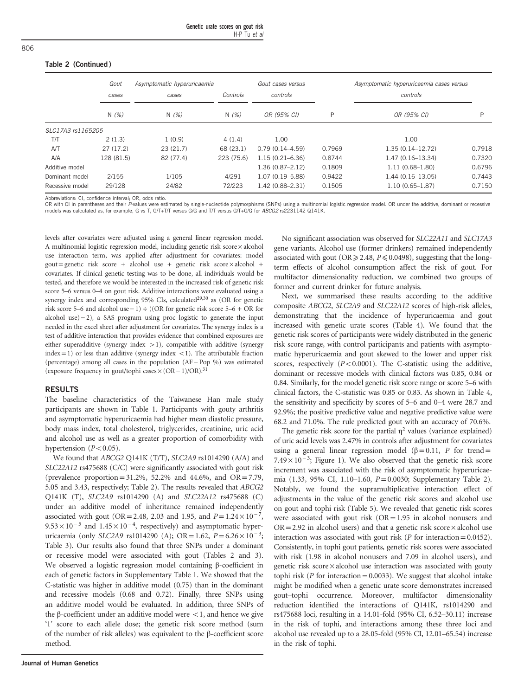#### Table 2 (Continued )

|                   | Gout       | Asymptomatic hyperuricaemia | Controls   | Gout cases versus   |        | Asymptomatic hyperuricaemia cases versus |        |
|-------------------|------------|-----------------------------|------------|---------------------|--------|------------------------------------------|--------|
|                   | cases      | cases                       |            | controls            |        | controls                                 |        |
|                   | N(%)       | N(%)                        | N(% )      | OR (95% CI)         | P      | OR (95% CI)                              | D      |
| SLC17A3 rs1165205 |            |                             |            |                     |        |                                          |        |
| T/T               | 2(1.3)     | 1(0.9)                      | 4(1.4)     | 1.00                |        | 1.00                                     |        |
| A/T               | 27(17.2)   | 23(21.7)                    | 68 (23.1)  | $0.79(0.14 - 4.59)$ | 0.7969 | $1.35(0.14 - 12.72)$                     | 0.7918 |
| A/A               | 128 (81.5) | 82 (77.4)                   | 223 (75.6) | $1.15(0.21 - 6.36)$ | 0.8744 | $1.47(0.16 - 13.34)$                     | 0.7320 |
| Additive model    |            |                             |            | $1.36(0.87 - 2.12)$ | 0.1809 | $1.11(0.68 - 1.80)$                      | 0.6796 |
| Dominant model    | 2/155      | 1/105                       | 4/291      | 1.07 (0.19 - 5.88)  | 0.9422 | $1.44(0.16-13.05)$                       | 0.7443 |
| Recessive model   | 29/128     | 24/82                       | 72/223     | $1.42(0.88 - 2.31)$ | 0.1505 | $1.10(0.65 - 1.87)$                      | 0.7150 |

Abbreviations: CI, confidence interval; OR, odds ratio.

OR with CI in parentheses and their P-values were estimated by single-nucleotide polymorphisms (SNPs) using a multinomial logistic regression model. OR under the additive, dominant or recessive models was calculated as, for example, G vs T, G/T+T/T versus G/G and T/T versus G/T+G/G for ABCG2 rs2231142 Q141K.

levels after covariates were adjusted using a general linear regression model. A multinomial logistic regression model, including genetic risk score × alcohol use interaction term, was applied after adjustment for covariates: model  $gout = genetic risk score + alcohol use + genetic risk score × alcohol +$ covariates. If clinical genetic testing was to be done, all individuals would be tested, and therefore we would be interested in the increased risk of genetic risk score 5–6 versus 0–4 on gout risk. Additive interactions were evaluated using a synergy index and corresponding  $95\%$  CIs, calculated<sup>29,30</sup> as (OR for genetic gout = genetic risk score + alcohol use + genetic risk score × alcohol + covariates. If clinical genetic testing was to be done, all individuals would be tested, and therefore we would be interested in the increased risk covariates. If clinical genetic testing was to be done, all individuals would be tested, and therefore we would be interested in the increased risk of genetic risk score 5–6 versus 0–4 on gout risk. Additive interactions needed in the excel sheet after adjustment for covariates. The synergy index is a test of additive interaction that provides evidence that combined exposures are either superadditive (synergy index  $>1$ ), compatible with additive (synergy  $index = 1$ ) or less than additive (synergy index <1). The attributable fraction alcohol use) – 2), a SAS program using proc logistic to generate the input<br>needed in the excel sheet after adjustment for covariates. The synergy index is a<br>test of additive interaction that provides evidence that combine meeded in the excel sheet after adjustment for covariates. These that come ither superadditive (synergy index > 1), compatible with index = 1) or less than additive (synergy index < 1). The (percentage) among all cases in

#### RESULTS

The baseline characteristics of the Taiwanese Han male study participants are shown in [Table 1](#page-1-0). Participants with gouty arthritis and asymptomatic hyperuricaemia had higher mean diastolic pressure, body mass index, total cholesterol, triglycerides, creatinine, uric acid and alcohol use as well as a greater proportion of comorbidity with hypertension  $(P<0.05)$ .

We found that ABCG2 Q141K (T/T), SLC2A9 rs1014290 (A/A) and SLC22A12 rs475688 (C/C) were significantly associated with gout risk (prevalence proportion= $31.2\%$ ,  $52.2\%$  and  $44.6\%$ , and  $OR = 7.79$ , 5.05 and 3.43, respectively; [Table 2\)](#page-2-0). The results revealed that ABCG2 Q141K (T), SLC2A9 rs1014290 (A) and SLC22A12 rs475688 (C) under an additive model of inheritance remained independently (prevalence proportion=31.2%, 52.2% and 44.6%, and OR=7.79, 5.05 and 3.43, respectively; Table 2). The results revealed that *ABCG2* Q141K (T), *SLC2A9* rs1014290 (A) and *SLC22A12* rs475688 (C) under an additive model of 5.05 and 3.43, respectively; Table 2). The results revealed that *ABCG2* Q141K (T), *SLC2A9* rs1014290 (A) and *SLC22A12* rs475688 (C) under an additive model of inheritance remained independently associated with gout (O Q141K (T), SLC2A9 rs1014290 (A) and SLC22A12 rs475688 (C) under an additive model of inheritance remained independently associated with gout (OR=2.48, 2.03 and 1.95, and  $P=1.24 \times 10^{-7}$ , 9.53 × 10<sup>-5</sup> and 1.45 × 10<sup>-4</sup>, [Table 3](#page-4-0)). Our results also found that three SNPs under a dominant or recessive model were associated with gout [\(Tables 2 and 3](#page-2-0)). We observed a logistic regression model containing β-coefficient in each of genetic factors in Supplementary Table 1. We showed that the C-statistic was higher in additive model (0.75) than in the dominant and recessive models (0.68 and 0.72). Finally, three SNPs using an additive model would be evaluated. In addition, three SNPs of the β-coefficient under an additive model were  $\lt$ 1, and hence we give '1' score to each allele dose; the genetic risk score method (sum of the number of risk alleles) was equivalent to the β-coefficient score method.

No significant association was observed for SLC22A11 and SLC17A3 gene variants. Alcohol use (former drinkers) remained independently associated with gout ( $OR \ge 2.48$ ,  $P \le 0.0498$ ), suggesting that the longterm effects of alcohol consumption affect the risk of gout. For multifactor dimensionality reduction, we combined two groups of former and current drinker for future analysis.

Next, we summarised these results according to the additive composite ABCG2, SLC2A9 and SLC22A12 scores of high-risk alleles, demonstrating that the incidence of hyperuricaemia and gout increased with genetic urate scores [\(Table 4\)](#page-5-0). We found that the genetic risk scores of participants were widely distributed in the generic risk score range, with control participants and patients with asymptomatic hyperuricaemia and gout skewed to the lower and upper risk scores, respectively  $(P<0.0001)$ . The C-statistic using the additive, dominant or recessive models with clinical factors was 0.85, 0.84 or 0.84. Similarly, for the model genetic risk score range or score 5–6 with clinical factors, the C-statistic was 0.85 or 0.83. As shown in [Table 4](#page-5-0), the sensitivity and specificity by scores of 5–6 and 0–4 were 28.7 and 92.9%; the positive predictive value and negative predictive value were 68.2 and 71.0%. The rule predicted gout with an accuracy of 70.6%.

The genetic risk score for the partial  $\eta^2$  values (variance explained) of uric acid levels was 2.47% in controls after adjustment for covariates using a general linear regression model ( $\beta$ =0.11, P for trend= 7.49 × 10<sup>-3</sup>; [Figure 1](#page-5-0)). We also observed that the genetic risk score increment was associated with the risk of asymptomatic hyperuricaemia (1.33, 95% CI, 1.10–1.60, P=0.0030; Supplementary Table 2). Notably, we found the supramultiplicative interaction effect of adjustments in the value of the genetic risk scores and alcohol use on gout and tophi risk [\(Table 5\)](#page-6-0). We revealed that genetic risk scores were associated with gout risk  $(OR = 1.95$  in alcohol nonusers and  $OR = 2.92$  in alcohol users) and that a genetic risk score  $\times$  alcohol use interaction was associated with gout risk ( $P$  for interaction = 0.0452). Consistently, in tophi gout patients, genetic risk scores were associated with risk (1.98 in alcohol nonusers and 7.09 in alcohol users), and genetic risk score × alcohol use interaction was associated with gouty tophi risk ( $P$  for interaction = 0.0033). We suggest that alcohol intake might be modified when a genetic urate score demonstrates increased gout–tophi occurrence. Moreover, multifactor dimensionality reduction identified the interactions of Q141K, rs1014290 and rs475688 loci, resulting in a 14.01-fold (95% CI, 6.52–30.11) increase in the risk of tophi, and interactions among these three loci and alcohol use revealed up to a 28.05-fold (95% CI, 12.01–65.54) increase in the risk of tophi.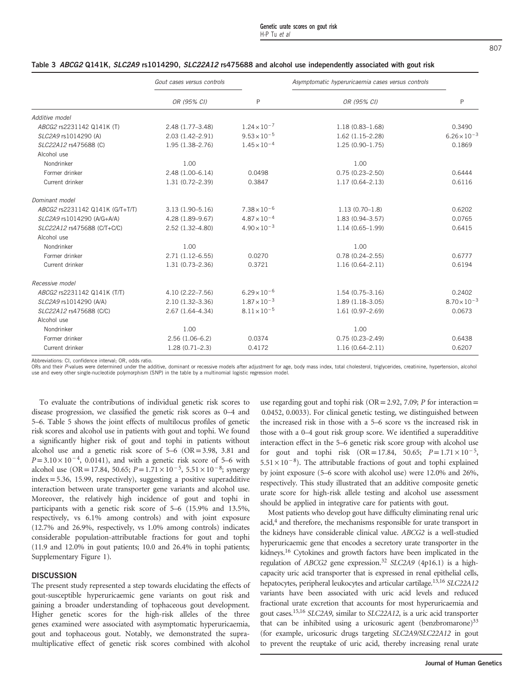|                                 | Gout cases versus controls |                       | Asymptomatic hyperuricaemia cases versus controls |                       |
|---------------------------------|----------------------------|-----------------------|---------------------------------------------------|-----------------------|
|                                 | OR (95% CI)                | P                     | OR (95% CI)                                       | P                     |
| Additive model                  |                            |                       |                                                   |                       |
| ABCG2 rs2231142 Q141K (T)       | 2.48 (1.77-3.48)           | $1.24 \times 10^{-7}$ | $1.18(0.83 - 1.68)$                               | 0.3490                |
| SLC2A9 rs1014290 (A)            | 2.03 (1.42-2.91)           | $9.53 \times 10^{-5}$ | $1.62(1.15 - 2.28)$                               | $6.26 \times 10^{-3}$ |
| SLC22A12 rs475688 (C)           | 1.95 (1.38-2.76)           | $1.45 \times 10^{-4}$ | $1.25(0.90 - 1.75)$                               | 0.1869                |
| Alcohol use                     |                            |                       |                                                   |                       |
| Nondrinker                      | 1.00                       |                       | 1.00                                              |                       |
| Former drinker                  | 2.48 (1.00-6.14)           | 0.0498                | $0.75(0.23 - 2.50)$                               | 0.6444                |
| Current drinker                 | $1.31(0.72 - 2.39)$        | 0.3847                | $1.17(0.64 - 2.13)$                               | 0.6116                |
| Dominant model                  |                            |                       |                                                   |                       |
| ABCG2 rs2231142 Q141K (G/T+T/T) | $3.13(1.90 - 5.16)$        | $7.38 \times 10^{-6}$ | $1.13(0.70-1.8)$                                  | 0.6202                |
| SLC2A9 rs1014290 (A/G+A/A)      | 4.28 (1.89-9.67)           | $4.87 \times 10^{-4}$ | $1.83(0.94 - 3.57)$                               | 0.0765                |
| SLC22A12 rs475688 (C/T+C/C)     | 2.52 (1.32-4.80)           | $4.90 \times 10^{-3}$ | $1.14(0.65 - 1.99)$                               | 0.6415                |
| Alcohol use                     |                            |                       |                                                   |                       |
| Nondrinker                      | 1.00                       |                       | 1.00                                              |                       |
| Former drinker                  | $2.71(1.12 - 6.55)$        | 0.0270                | $0.78(0.24 - 2.55)$                               | 0.6777                |
| Current drinker                 | $1.31(0.73 - 2.36)$        | 0.3721                | $1.16(0.64 - 2.11)$                               | 0.6194                |
| Recessive model                 |                            |                       |                                                   |                       |
| ABCG2 rs2231142 Q141K (T/T)     | 4.10 (2.22-7.56)           | $6.29 \times 10^{-6}$ | $1.54(0.75 - 3.16)$                               | 0.2402                |
| SLC2A9 rs1014290 (A/A)          | $2.10(1.32 - 3.36)$        | $1.87 \times 10^{-3}$ | $1.89(1.18 - 3.05)$                               | $8.70 \times 10^{-3}$ |
| SLC22A12 rs475688 (C/C)         | 2.67 (1.64-4.34)           | $8.11 \times 10^{-5}$ | $1.61(0.97 - 2.69)$                               | 0.0673                |
| Alcohol use                     |                            |                       |                                                   |                       |
| Nondrinker                      | 1.00                       |                       | 1.00                                              |                       |
| Former drinker                  | $2.56(1.06-6.2)$           | 0.0374                | $0.75(0.23 - 2.49)$                               | 0.6438                |
| Current drinker                 | $1.28(0.71 - 2.3)$         | 0.4172                | $1.16(0.64 - 2.11)$                               | 0.6207                |

#### <span id="page-4-0"></span>Table 3 ABCG2 Q141K, SLC2A9 rs1014290, SLC22A12 rs475688 and alcohol use independently associated with gout risk

Abbreviations: CI, confidence interval; OR, odds ratio.

ORs and their P-values were determined under the additive, dominant or recessive models after adjustment for age, body mass index, total cholesterol, triglycerides, creatinine, hypertension, alcohol use and every other single-nucleotide polymorphism (SNP) in the table by a multinomial logistic regression model.

To evaluate the contributions of individual genetic risk scores to disease progression, we classified the genetic risk scores as 0–4 and 5–6. [Table 5](#page-6-0) shows the joint effects of multilocus profiles of genetic risk scores and alcohol use in patients with gout and tophi. We found a significantly higher risk of gout and tophi in patients without alcohol use and a genetic risk score of 5–6 (OR=3.98, 3.81 and 5–6. Table 5 shows the joint effects of multilocus profiles of genetic<br>risk scores and alcohol use in patients with gout and tophi. We found<br>a significantly higher risk of gout and tophi in patients without<br>alcohol use an  $P = 3.10 \times 10^{-4}$ , 0.0141), and with a genetic risk score of 5–6 with alcohol use (OR = 17.84, 50.65;  $P = 1.71 \times 10^{-5}$ , 5.51 × 10<sup>-8</sup>; synergy index=5.36, 15.99, respectively), suggesting a positive superadditive interaction between urate transporter gene variants and alcohol use. Moreover, the relatively high incidence of gout and tophi in participants with a genetic risk score of 5–6 (15.9% and 13.5%, respectively, vs 6.1% among controls) and with joint exposure (12.7% and 26.9%, respectively, vs 1.0% among controls) indicates considerable population-attributable fractions for gout and tophi (11.9 and 12.0% in gout patients; 10.0 and 26.4% in tophi patients; Supplementary Figure 1).

#### **DISCUSSION**

The present study represented a step towards elucidating the effects of gout-susceptible hyperuricaemic gene variants on gout risk and gaining a broader understanding of tophaceous gout development. Higher genetic scores for the high-risk alleles of the three genes examined were associated with asymptomatic hyperuricaemia, gout and tophaceous gout. Notably, we demonstrated the supramultiplicative effect of genetic risk scores combined with alcohol use regarding gout and tophi risk ( $OR = 2.92$ , 7.09; P for interaction= 0.0452, 0.0033). For clinical genetic testing, we distinguished between the increased risk in those with a 5–6 score vs the increased risk in those with a 0–4 gout risk group score. We identified a superadditive interaction effect in the 5–6 genetic risk score group with alcohol use 0.0452, 0.0053). For clinical genetic testing, we distinguished between<br>the increased risk in those with a 5–6 score vs the increased risk in<br>those with a 0–4 gout risk group score. We identified a superadditive<br>interacti the increased risk in those with a 5–6 score vs the increased risk in<br>those with a 0–4 gout risk group score. We identified a superadditive<br>interaction effect in the 5–6 genetic risk score group with alcohol use<br>for gout by joint exposure (5–6 score with alcohol use) were 12.0% and 26%, respectively. This study illustrated that an additive composite genetic urate score for high-risk allele testing and alcohol use assessment should be applied in integrative care for patients with gout.

Most patients who develop gout have difficulty eliminating renal uric acid[,4](#page-7-0) and therefore, the mechanisms responsible for urate transport in the kidneys have considerable clinical value. ABCG2 is a well-studied hyperuricaemic gene that encodes a secretory urate transporter in the kidneys[.16](#page-7-0) Cytokines and growth factors have been implicated in the regulation of ABCG2 gene expression.[32](#page-7-0) SLC2A9 (4p16.1) is a highcapacity uric acid transporter that is expressed in renal epithelial cells, hepatocytes, peripheral leukocytes and articular cartilage.<sup>[13](#page-7-0),[16](#page-7-0)</sup> SLC22A12 variants have been associated with uric acid levels and reduced fractional urate excretion that accounts for most hyperuricaemia and gout cases[.15](#page-7-0),[16](#page-7-0) SLC2A9, similar to SLC22A12, is a uric acid transporter that can be inhibited using a uricosuric agent (benzbromarone)<sup>[33](#page-7-0)</sup> (for example, uricosuric drugs targeting SLC2A9/SLC22A12 in gout to prevent the reuptake of uric acid, thereby increasing renal urate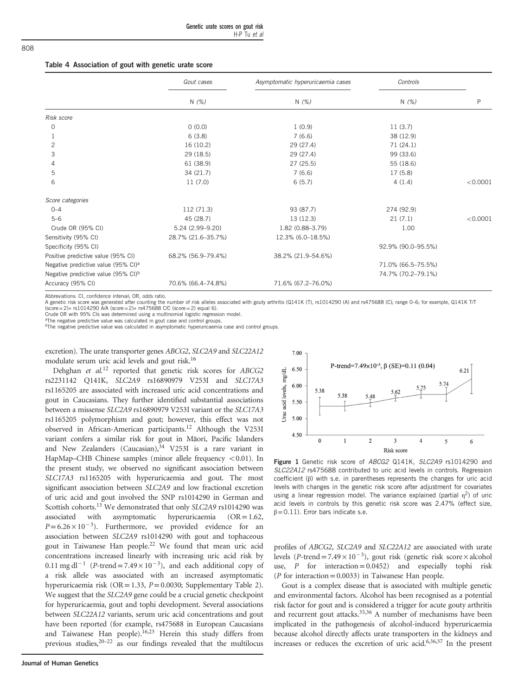#### <span id="page-5-0"></span>Table 4 Association of gout with genetic urate score

|                                                 | Gout cases         | Asymptomatic hyperuricaemia cases | Controls           |          |
|-------------------------------------------------|--------------------|-----------------------------------|--------------------|----------|
|                                                 | N(%)               | N $(\%)$                          | N(%)               | P        |
| Risk score                                      |                    |                                   |                    |          |
| 0                                               | 0(0.0)             | 1(0.9)                            | 11(3.7)            |          |
|                                                 | 6(3.8)             | 7(6.6)                            | 38 (12.9)          |          |
| 2                                               | 16 (10.2)          | 29 (27.4)                         | 71 (24.1)          |          |
| 3                                               | 29 (18.5)          | 29 (27.4)                         | 99 (33.6)          |          |
| 4                                               | 61 (38.9)          | 27(25.5)                          | 55 (18.6)          |          |
| 5                                               | 34(21.7)           | 7(6.6)                            | 17(5.8)            |          |
| 6                                               | 11(7.0)            | 6(5.7)                            | 4(1.4)             | < 0.0001 |
| Score categories                                |                    |                                   |                    |          |
| $0 - 4$                                         | 112 (71.3)         | 93 (87.7)                         | 274 (92.9)         |          |
| $5 - 6$                                         | 45 (28.7)          | 13 (12.3)                         | 21(7.1)            | < 0.0001 |
| Crude OR (95% CI)                               | 5.24 (2.99-9.20)   | 1.82 (0.88-3.79)                  | 1.00               |          |
| Sensitivity (95% CI)                            | 28.7% (21.6-35.7%) | 12.3% (6.0-18.5%)                 |                    |          |
| Specificity (95% CI)                            |                    |                                   | 92.9% (90.0-95.5%) |          |
| Positive predictive value (95% CI)              | 68.2% (56.9–79.4%) | 38.2% (21.9-54.6%)                |                    |          |
| Negative predictive value (95% CI) <sup>a</sup> |                    |                                   | 71.0% (66.5-75.5%) |          |
| Negative predictive value (95% CI) <sup>b</sup> |                    |                                   | 74.7% (70.2-79.1%) |          |
| Accuracy (95% CI)                               | 70.6% (66.4-74.8%) | 71.6% (67.2-76.0%)                |                    |          |

Abbreviations: CI, confidence interval; OR, odds ratio.

A genetic risk score was generated after counting the number of risk alleles associated with gouty arthritis (Q141K (T), rs1014290 (A) and rs475688 (C); range 0–6; for example, Q141K T/T (score=2)+ rs1014290 A/A (score=2)+ rs475688 C/C (score=2) equal 6).

Crude OR with 95% CIs was determined using a multinomial logistic regression model.

The negative predictive value was calculated in gout case and control groups.

<sup>b</sup>The negative predictive value was calculated in asymptomatic hyperuricaemia case and control groups.

excretion). The urate transporter genes ABCG2, SLC2A9 and SLC22A12 modulate serum uric acid levels and gout risk[.16](#page-7-0)

Dehghan et al.[12](#page-7-0) reported that genetic risk scores for ABCG2 rs2231142 Q141K, SLC2A9 rs16890979 V253I and SLC17A3 rs1165205 are associated with increased uric acid concentrations and gout in Caucasians. They further identified substantial associations between a missense SLC2A9 rs16890979 V253I variant or the SLC17A3 rs1165205 polymorphism and gout; however, this effect was not observed in African-American participants.[12](#page-7-0) Although the V253I variant confers a similar risk for gout in Māori, Pacific Islanders and New Zealanders (Caucasian), $34$  V253I is a rare variant in HapMap–CHB Chinese samples (minor allele frequency  $< 0.01$ ). In the present study, we observed no significant association between SLC17A3 rs1165205 with hyperuricaemia and gout. The most significant association between SLC2A9 and low fractional excretion of uric acid and gout involved the SNP rs1014290 in German and Scottish cohorts.[13](#page-7-0) We demonstrated that only SLC2A9 rs1014290 was associated with asymptomatic hyperuricaemia  $(OR=1.62,$ significant association between *SLC2A9* and low fractional excretion<br>of uric acid and gout involved the SNP rs1014290 in German and<br>Scottish cohorts.<sup>13</sup> We demonstrated that only *SLC2A9* rs1014290 was<br>associated with a association between SLC2A9 rs1014290 with gout and tophaceous gout in Taiwanese Han people.<sup>22</sup> We found that mean uric acid concentrations increased linearly with increasing uric acid risk by  $P=6.26\times10^{-3}$ ). Furthermore, we provided evidence for an association between *SLC2A9* rs1014290 with gout and tophaceous gout in Taiwanese Han people.<sup>22</sup> We found that mean uric acid concentrations increased linearly w a risk allele was associated with an increased asymptomatic hyperuricaemia risk (OR=1.33,  $P=0.0030$ ; Supplementary Table 2). We suggest that the SLC2A9 gene could be a crucial genetic checkpoint for hyperuricaemia, gout and tophi development. Several associations between SLC22A12 variants, serum uric acid concentrations and gout have been reported (for example, rs475688 in European Caucasians and Taiwanese Han people).<sup>16,23</sup> Herein this study differs from previous studies,<sup>20-22</sup> as our findings revealed that the multilocus



Figure 1 Genetic risk score of ABCG2 Q141K, SLC2A9 rs1014290 and SLC22A12 rs475688 contributed to uric acid levels in controls. Regression coefficient (β) with s.e. in parentheses represents the changes for uric acid levels with changes in the genetic risk score after adjustment for covariates using a linear regression model. The variance explained (partial  $\eta^2$ ) of uric acid levels in controls by this genetic risk score was 2.47% (effect size,  $\beta$ =0.11). Error bars indicate s.e.

profiles of ABCG2, SLC2A9 and SLC22A12 are associated with urate levels (P-trend=7.49 ×  $10^{-3}$ ), gout risk (genetic risk score × alcohol use, *P* for interaction=0.0452) and especially tophi risk ( $P$  for interaction = 0.0033) in Taiwanese Han people.

Gout is a complex disease that is associated with multiple genetic and environmental factors. Alcohol has been recognised as a potential risk factor for gout and is considered a trigger for acute gouty arthritis and recurrent gout attacks.<sup>35,36</sup> A number of mechanisms have been implicated in the pathogenesis of alcohol-induced hyperuricaemia because alcohol directly affects urate transporters in the kidneys and increases or reduces the excretion of uric acid[.6,36,37](#page-7-0) In the present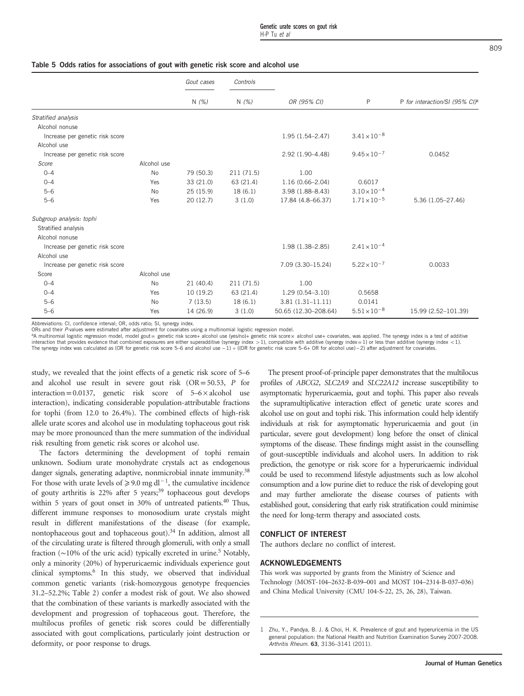<span id="page-6-0"></span>

|                                 |             | Gout cases | Controls   |                      |                       |                                            |
|---------------------------------|-------------|------------|------------|----------------------|-----------------------|--------------------------------------------|
|                                 |             | N(%)       | N(%)       | OR (95% CI)          | $\mathsf{P}$          | P for interaction/SI (95% CI) <sup>a</sup> |
| Stratified analysis             |             |            |            |                      |                       |                                            |
| Alcohol nonuse                  |             |            |            |                      |                       |                                            |
| Increase per genetic risk score |             |            |            | $1.95(1.54 - 2.47)$  | $3.41 \times 10^{-8}$ |                                            |
| Alcohol use                     |             |            |            |                      |                       |                                            |
| Increase per genetic risk score |             |            |            | 2.92 (1.90-4.48)     | $9.45 \times 10^{-7}$ | 0.0452                                     |
| Score                           | Alcohol use |            |            |                      |                       |                                            |
| $0 - 4$                         | <b>No</b>   | 79 (50.3)  | 211 (71.5) | 1.00                 |                       |                                            |
| $0 - 4$                         | Yes         | 33 (21.0)  | 63 (21.4)  | $1.16(0.66 - 2.04)$  | 0.6017                |                                            |
| $5 - 6$                         | <b>No</b>   | 25(15.9)   | 18(6.1)    | $3.98(1.88 - 8.43)$  | $3.10 \times 10^{-4}$ |                                            |
| $5 - 6$                         | Yes         | 20(12.7)   | 3(1.0)     | 17.84 (4.8-66.37)    | $1.71 \times 10^{-5}$ | 5.36 (1.05-27.46)                          |
| Subgroup analysis: tophi        |             |            |            |                      |                       |                                            |
| Stratified analysis             |             |            |            |                      |                       |                                            |
| Alcohol nonuse                  |             |            |            |                      |                       |                                            |
| Increase per genetic risk score |             |            |            | 1.98 (1.38-2.85)     | $2.41 \times 10^{-4}$ |                                            |
| Alcohol use                     |             |            |            |                      |                       |                                            |
| Increase per genetic risk score |             |            |            | 7.09 (3.30-15.24)    | $5.22 \times 10^{-7}$ | 0.0033                                     |
| Score                           | Alcohol use |            |            |                      |                       |                                            |
| $0 - 4$                         | <b>No</b>   | 21(40.4)   | 211 (71.5) | 1.00                 |                       |                                            |
| $0 - 4$                         | Yes         | 10(19.2)   | 63 (21.4)  | $1.29(0.54 - 3.10)$  | 0.5658                |                                            |
| $5 - 6$                         | <b>No</b>   | 7(13.5)    | 18(6.1)    | $3.81(1.31 - 11.11)$ | 0.0141                |                                            |
| $5 - 6$                         | Yes         | 14 (26.9)  | 3(1.0)     | 50.65 (12.30-208.64) | $5.51 \times 10^{-8}$ | 15.99 (2.52-101.39)                        |

Abbreviations: CI, confidence interval; OR, odds ratio; SI, synergy index.

ORs and their P-values were estimated after adjustment for covariates using a multinomial logistic regression model.

<sup>a</sup>A multinomial logistic regression model, model gout = genetic risk score+ alcohol use (yes/no)+ genetic risk score × alcohol use+ covariates, was applied. The synergy index is a test of additive interaction that provides evidence that combined exposures are either superadditive (synergy index  $>1$ ), compatible with additive (synergy index =1) or less than additive (synergy index  $< 1$ ).

The synergy index was calculated as (OR for genetic risk score 5–6 and alcohol use −1) ÷ ((OR for genetic risk score 5–6+ OR for alcohol use) − 2) after adjustment for covariates.

study, we revealed that the joint effects of a genetic risk score of 5–6 and alcohol use result in severe gout risk  $(OR = 50.53, P$  for interaction = 0.0137, genetic risk score of  $5-6 \times$  alcohol use interaction), indicating considerable population-attributable fractions for tophi (from 12.0 to 26.4%). The combined effects of high-risk allele urate scores and alcohol use in modulating tophaceous gout risk may be more pronounced than the mere summation of the individual risk resulting from genetic risk scores or alcohol use.

The factors determining the development of tophi remain unknown. Sodium urate monohydrate crystals act as endogenous danger signals, generating adaptive, nonmicrobial innate immunity.<sup>[38](#page-7-0)</sup> For the factors determining the development of tophi remain unknown. Sodium urate monohydrate crystals act as endogenous danger signals, generating adaptive, nonmicrobial innate immunity.<sup>38</sup> For those with urate levels o of gouty arthritis is 22% after 5 years;<sup>[39](#page-7-0)</sup> tophaceous gout develops within 5 years of gout onset in 30% of untreated patients.<sup>[40](#page-7-0)</sup> Thus, different immune responses to monosodium urate crystals might result in different manifestations of the disease (for example, nontophaceous gout and tophaceous gout).<sup>34</sup> In addition, almost all of the circulating urate is filtered through glomeruli, with only a small fraction (∼10% of the uric acid) typically excreted in urine[.5](#page-7-0) Notably, only a minority (20%) of hyperuricaemic individuals experience gout clinical symptoms[.6](#page-7-0) In this study, we observed that individual common genetic variants (risk-homozygous genotype frequencies 31.2–52.2%; [Table 2](#page-2-0)) confer a modest risk of gout. We also showed that the combination of these variants is markedly associated with the development and progression of tophaceous gout. Therefore, the multilocus profiles of genetic risk scores could be differentially associated with gout complications, particularly joint destruction or deformity, or poor response to drugs.

The present proof-of-principle paper demonstrates that the multilocus profiles of ABCG2, SLC2A9 and SLC22A12 increase susceptibility to asymptomatic hyperuricaemia, gout and tophi. This paper also reveals the supramultiplicative interaction effect of genetic urate scores and alcohol use on gout and tophi risk. This information could help identify individuals at risk for asymptomatic hyperuricaemia and gout (in particular, severe gout development) long before the onset of clinical symptoms of the disease. These findings might assist in the counselling of gout-susceptible individuals and alcohol users. In addition to risk prediction, the genotype or risk score for a hyperuricaemic individual could be used to recommend lifestyle adjustments such as low alcohol consumption and a low purine diet to reduce the risk of developing gout and may further ameliorate the disease courses of patients with established gout, considering that early risk stratification could minimise the need for long-term therapy and associated costs.

### CONFLICT OF INTEREST

The authors declare no conflict of interest.

#### ACKNOWLEDGEMENTS

This work was supported by grants from the Ministry of Science and Technology (MOST-104–2632-B-039–001 and MOST 104–2314-B-037–036) and China Medical University (CMU 104-S-22, 25, 26, 28), Taiwan.

<sup>1</sup> Zhu, Y., Pandya, B. J. & Choi, H. K. Prevalence of gout and hyperuricemia in the US general population: the National Health and Nutrition Examination Survey 2007-2008. Arthritis Rheum. 63, 3136–3141 (2011).